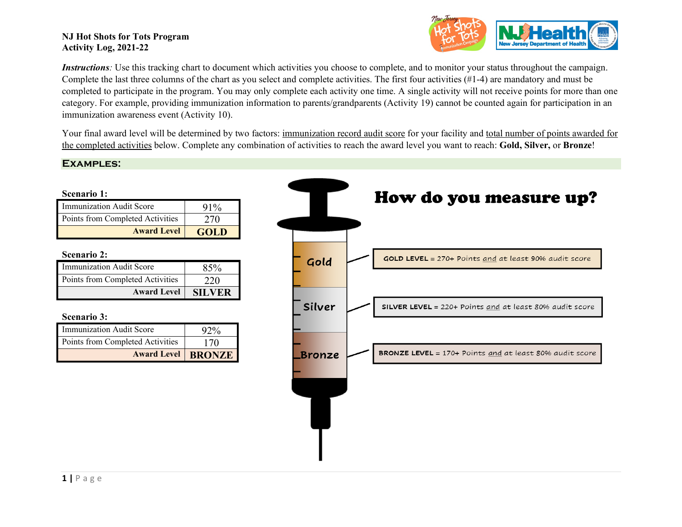

*Instructions*: Use this tracking chart to document which activities you choose to complete, and to monitor your status throughout the campaign. Complete the last three columns of the chart as you select and complete activities. The first four activities (#1-4) are mandatory and must be completed to participate in the program. You may only complete each activity one time. A single activity will not receive points for more than one category. For example, providing immunization information to parents/grandparents (Activity 19) cannot be counted again for participation in an immunization awareness event (Activity 10).

Your final award level will be determined by two factors: immunization record audit score for your facility and total number of points awarded for the completed activities below. Complete any combination of activities to reach the award level you want to reach: **Gold, Silver,** or **Bronze**!

## **Examples:**

#### **Scenario 1:**

| <b>Immunization Audit Score</b>  | $91\%$      |
|----------------------------------|-------------|
| Points from Completed Activities | 270         |
| <b>Award Level</b>               | <b>GOLD</b> |

### **Scenario 2:**

| Immunization Audit Score         | 85%           |
|----------------------------------|---------------|
| Points from Completed Activities | 220           |
| <b>Award Level</b>               | <b>SILVER</b> |

### **Scenario 3:**

| <b>Immunization Audit Score</b>  | $92\%$ |
|----------------------------------|--------|
| Points from Completed Activities | 170    |
| <b>Award Level   BRONZE</b>      |        |

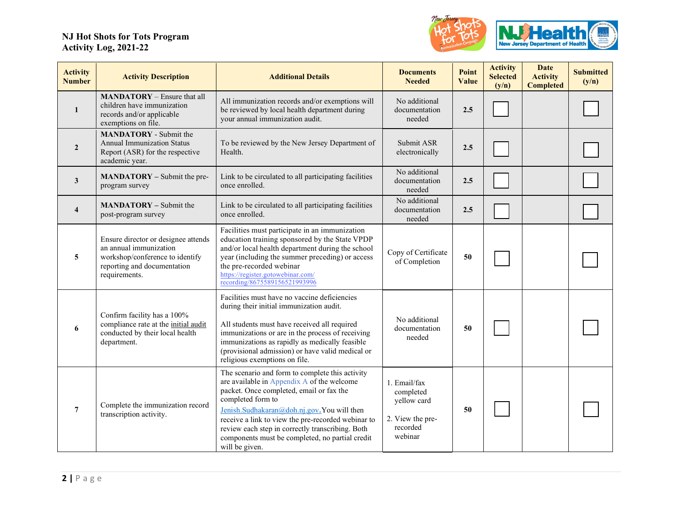

| <b>Activity</b><br><b>Number</b> | <b>Activity Description</b>                                                                                                                      | <b>Additional Details</b>                                                                                                                                                                                                                                                                                                                                                                   | <b>Documents</b><br><b>Needed</b>                                                   | Point<br>Value | <b>Activity</b><br><b>Selected</b><br>(y/n) | <b>Date</b><br><b>Activity</b><br><b>Completed</b> | <b>Submitted</b><br>(y/n) |
|----------------------------------|--------------------------------------------------------------------------------------------------------------------------------------------------|---------------------------------------------------------------------------------------------------------------------------------------------------------------------------------------------------------------------------------------------------------------------------------------------------------------------------------------------------------------------------------------------|-------------------------------------------------------------------------------------|----------------|---------------------------------------------|----------------------------------------------------|---------------------------|
| $\mathbf{1}$                     | <b>MANDATORY</b> – Ensure that all<br>children have immunization<br>records and/or applicable<br>exemptions on file.                             | All immunization records and/or exemptions will<br>be reviewed by local health department during<br>your annual immunization audit.                                                                                                                                                                                                                                                         | No additional<br>documentation<br>needed                                            | 2.5            |                                             |                                                    |                           |
| $\overline{2}$                   | <b>MANDATORY</b> - Submit the<br><b>Annual Immunization Status</b><br>Report (ASR) for the respective<br>academic year.                          | To be reviewed by the New Jersey Department of<br>Health.                                                                                                                                                                                                                                                                                                                                   | Submit ASR<br>electronically                                                        | 2.5            |                                             |                                                    |                           |
| 3                                | <b>MANDATORY</b> – Submit the pre-<br>program survey                                                                                             | Link to be circulated to all participating facilities<br>once enrolled.                                                                                                                                                                                                                                                                                                                     | No additional<br>documentation<br>needed                                            | 2.5            |                                             |                                                    |                           |
| $\overline{\mathbf{4}}$          | <b>MANDATORY</b> – Submit the<br>post-program survey                                                                                             | Link to be circulated to all participating facilities<br>once enrolled.                                                                                                                                                                                                                                                                                                                     | No additional<br>documentation<br>needed                                            | 2.5            |                                             |                                                    |                           |
| 5                                | Ensure director or designee attends<br>an annual immunization<br>workshop/conference to identify<br>reporting and documentation<br>requirements. | Facilities must participate in an immunization<br>education training sponsored by the State VPDP<br>and/or local health department during the school<br>year (including the summer preceding) or access<br>the pre-recorded webinar<br>https://register.gotowebinar.com/<br>recording/8675589156521993996                                                                                   | Copy of Certificate<br>of Completion                                                | 50             |                                             |                                                    |                           |
| 6                                | Confirm facility has a 100%<br>compliance rate at the initial audit<br>conducted by their local health<br>department.                            | Facilities must have no vaccine deficiencies<br>during their initial immunization audit.<br>All students must have received all required<br>immunizations or are in the process of receiving<br>immunizations as rapidly as medically feasible<br>(provisional admission) or have valid medical or<br>religious exemptions on file.                                                         | No additional<br>documentation<br>needed                                            | 50             |                                             |                                                    |                           |
| $\overline{7}$                   | Complete the immunization record<br>transcription activity.                                                                                      | The scenario and form to complete this activity<br>are available in Appendix A of the welcome<br>packet. Once completed, email or fax the<br>completed form to<br>Jenish.Sudhakaran@doh.nj.gov.You will then<br>receive a link to view the pre-recorded webinar to<br>review each step in correctly transcribing. Both<br>components must be completed, no partial credit<br>will be given. | 1. Email/fax<br>completed<br>yellow card<br>2. View the pre-<br>recorded<br>webinar | 50             |                                             |                                                    |                           |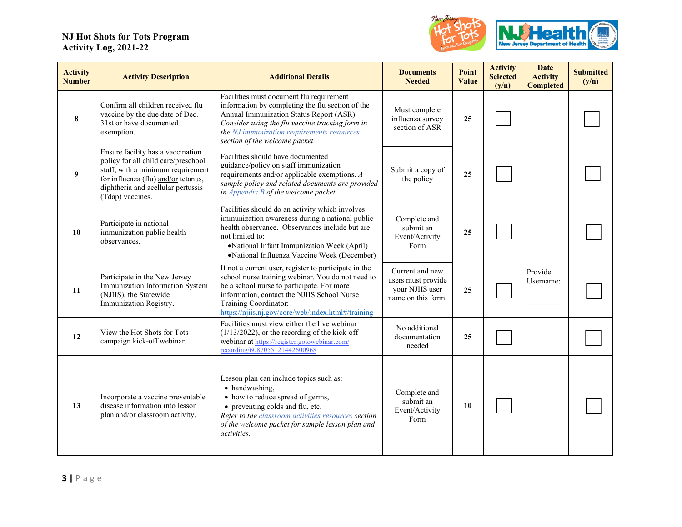

| <b>Activity</b><br><b>Number</b> | <b>Activity Description</b>                                                                                                                                                                                    | <b>Additional Details</b>                                                                                                                                                                                                                                                              | <b>Documents</b><br><b>Needed</b>                                              | Point<br>Value | <b>Activity</b><br><b>Selected</b><br>(y/n) | <b>Date</b><br><b>Activity</b><br><b>Completed</b> | <b>Submitted</b><br>(y/n) |
|----------------------------------|----------------------------------------------------------------------------------------------------------------------------------------------------------------------------------------------------------------|----------------------------------------------------------------------------------------------------------------------------------------------------------------------------------------------------------------------------------------------------------------------------------------|--------------------------------------------------------------------------------|----------------|---------------------------------------------|----------------------------------------------------|---------------------------|
| 8                                | Confirm all children received flu<br>vaccine by the due date of Dec.<br>31st or have documented<br>exemption.                                                                                                  | Facilities must document flu requirement<br>information by completing the flu section of the<br>Annual Immunization Status Report (ASR).<br>Consider using the flu vaccine tracking form in<br>the NJ immunization requirements resources<br>section of the welcome packet.            | Must complete<br>influenza survey<br>section of ASR                            | 25             |                                             |                                                    |                           |
| 9                                | Ensure facility has a vaccination<br>policy for all child care/preschool<br>staff, with a minimum requirement<br>for influenza (flu) and/or tetanus,<br>diphtheria and acellular pertussis<br>(Tdap) vaccines. | Facilities should have documented<br>guidance/policy on staff immunization<br>requirements and/or applicable exemptions. $A$<br>sample policy and related documents are provided<br>in Appendix $B$ of the welcome packet.                                                             | Submit a copy of<br>the policy                                                 | 25             |                                             |                                                    |                           |
| 10                               | Participate in national<br>immunization public health<br>observances.                                                                                                                                          | Facilities should do an activity which involves<br>immunization awareness during a national public<br>health observance. Observances include but are<br>not limited to:<br>• National Infant Immunization Week (April)<br>•National Influenza Vaccine Week (December)                  | Complete and<br>submit an<br>Event/Activity<br>Form                            | 25             |                                             |                                                    |                           |
| 11                               | Participate in the New Jersey<br>Immunization Information System<br>(NJIIS), the Statewide<br>Immunization Registry.                                                                                           | If not a current user, register to participate in the<br>school nurse training webinar. You do not need to<br>be a school nurse to participate. For more<br>information, contact the NJIIS School Nurse<br>Training Coordinator:<br>https://njiis.nj.gov/core/web/index.html#/training | Current and new<br>users must provide<br>your NJIIS user<br>name on this form. | 25             |                                             | Provide<br>Username:                               |                           |
| 12                               | View the Hot Shots for Tots<br>campaign kick-off webinar.                                                                                                                                                      | Facilities must view either the live webinar<br>$(1/13/2022)$ , or the recording of the kick-off<br>webinar at https://register.gotowebinar.com/<br>recording/6087055121442600968                                                                                                      | No additional<br>documentation<br>needed                                       | 25             |                                             |                                                    |                           |
| 13                               | Incorporate a vaccine preventable<br>disease information into lesson<br>plan and/or classroom activity.                                                                                                        | Lesson plan can include topics such as:<br>• handwashing,<br>• how to reduce spread of germs,<br>• preventing colds and flu, etc.<br>Refer to the classroom activities resources section<br>of the welcome packet for sample lesson plan and<br>activities.                            | Complete and<br>submit an<br>Event/Activity<br>Form                            | 10             |                                             |                                                    |                           |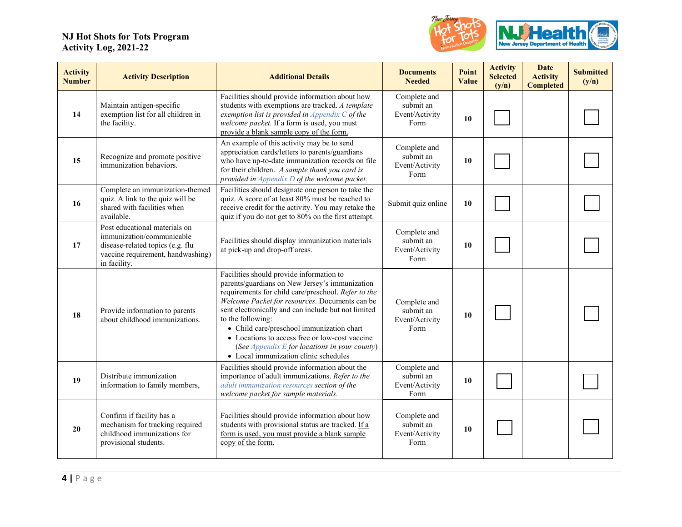

| <b>Activity</b><br><b>Number</b> | <b>Activity Description</b>                                                                                                                         | <b>Additional Details</b>                                                                                                                                                                                                                                                                                                                                                                                                                                                | <b>Documents</b><br><b>Needed</b>                   | Point<br>Value | <b>Activity</b><br><b>Selected</b><br>(y/n) | <b>Date</b><br><b>Activity</b><br><b>Completed</b> | <b>Submitted</b><br>(y/n) |
|----------------------------------|-----------------------------------------------------------------------------------------------------------------------------------------------------|--------------------------------------------------------------------------------------------------------------------------------------------------------------------------------------------------------------------------------------------------------------------------------------------------------------------------------------------------------------------------------------------------------------------------------------------------------------------------|-----------------------------------------------------|----------------|---------------------------------------------|----------------------------------------------------|---------------------------|
| 14                               | Maintain antigen-specific<br>exemption list for all children in<br>the facility.                                                                    | Facilities should provide information about how<br>students with exemptions are tracked. A template<br>exemption list is provided in Appendix $C$ of the<br>welcome packet. If a form is used, you must<br>provide a blank sample copy of the form.                                                                                                                                                                                                                      | Complete and<br>submit an<br>Event/Activity<br>Form | 10             |                                             |                                                    |                           |
| 15                               | Recognize and promote positive<br>immunization behaviors.                                                                                           | An example of this activity may be to send<br>appreciation cards/letters to parents/guardians<br>who have up-to-date immunization records on file<br>for their children. A sample thank you card is<br>provided in $Appendix D$ of the welcome packet.                                                                                                                                                                                                                   | Complete and<br>submit an<br>Event/Activity<br>Form | 10             |                                             |                                                    |                           |
| 16                               | Complete an immunization-themed<br>quiz. A link to the quiz will be<br>shared with facilities when<br>available.                                    | Facilities should designate one person to take the<br>quiz. A score of at least 80% must be reached to<br>receive credit for the activity. You may retake the<br>quiz if you do not get to 80% on the first attempt.                                                                                                                                                                                                                                                     | Submit quiz online                                  | 10             |                                             |                                                    |                           |
| 17                               | Post educational materials on<br>immunization/communicable<br>disease-related topics (e.g. flu<br>vaccine requirement, handwashing)<br>in facility. | Facilities should display immunization materials<br>at pick-up and drop-off areas.                                                                                                                                                                                                                                                                                                                                                                                       | Complete and<br>submit an<br>Event/Activity<br>Form | 10             |                                             |                                                    |                           |
| 18                               | Provide information to parents<br>about childhood immunizations.                                                                                    | Facilities should provide information to<br>parents/guardians on New Jersey's immunization<br>requirements for child care/preschool. Refer to the<br>Welcome Packet for resources. Documents can be<br>sent electronically and can include but not limited<br>to the following:<br>• Child care/preschool immunization chart<br>• Locations to access free or low-cost vaccine<br>(See Appendix E for locations in your county)<br>• Local immunization clinic schedules | Complete and<br>submit an<br>Event/Activity<br>Form | 10             |                                             |                                                    |                           |
| 19                               | Distribute immunization<br>information to family members,                                                                                           | Facilities should provide information about the<br>importance of adult immunizations. Refer to the<br>adult immunization resources section of the<br>welcome packet for sample materials.                                                                                                                                                                                                                                                                                | Complete and<br>submit an<br>Event/Activity<br>Form | 10             |                                             |                                                    |                           |
| 20                               | Confirm if facility has a<br>mechanism for tracking required<br>childhood immunizations for<br>provisional students.                                | Facilities should provide information about how<br>students with provisional status are tracked. If a<br>form is used, you must provide a blank sample<br>copy of the form.                                                                                                                                                                                                                                                                                              | Complete and<br>submit an<br>Event/Activity<br>Form | 10             |                                             |                                                    |                           |